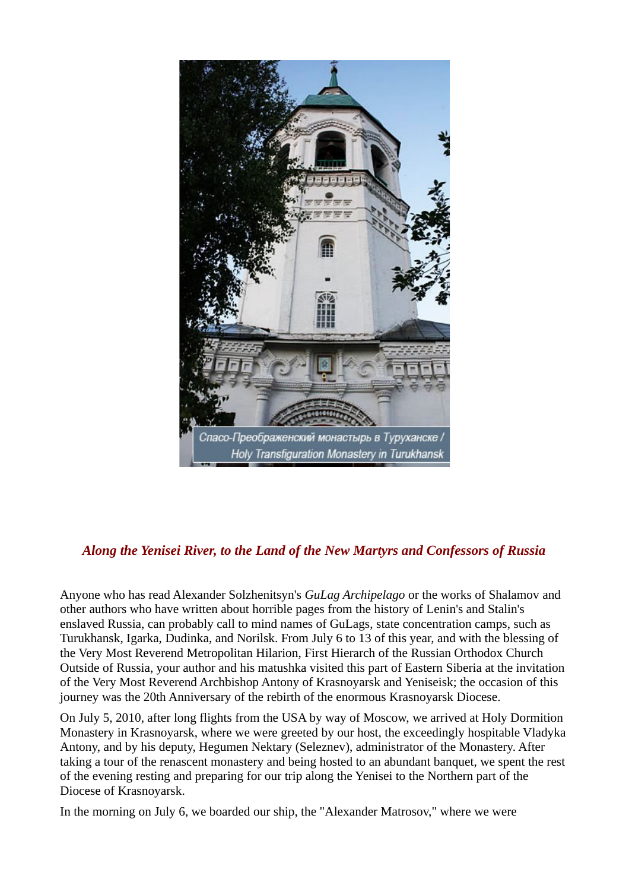

## *Along the Yenisei River, to the Land of the New Martyrs and Confessors of Russia*

Anyone who has read Alexander Solzhenitsyn's *GuLag Archipelago* or the works of Shalamov and other authors who have written about horrible pages from the history of Lenin's and Stalin's enslaved Russia, can probably call to mind names of GuLags, state concentration camps, such as Turukhansk, Igarka, Dudinka, and Norilsk. From July 6 to 13 of this year, and with the blessing of the Very Most Reverend Metropolitan Hilarion, First Hierarch of the Russian Orthodox Church Outside of Russia, your author and his matushka visited this part of Eastern Siberia at the invitation of the Very Most Reverend Archbishop Antony of Krasnoyarsk and Yeniseisk; the occasion of this journey was the 20th Anniversary of the rebirth of the enormous Krasnoyarsk Diocese.

On July 5, 2010, after long flights from the USA by way of Moscow, we arrived at Holy Dormition Monastery in Krasnoyarsk, where we were greeted by our host, the exceedingly hospitable Vladyka Antony, and by his deputy, Hegumen Nektary (Seleznev), administrator of the Monastery. After taking a tour of the renascent monastery and being hosted to an abundant banquet, we spent the rest of the evening resting and preparing for our trip along the Yenisei to the Northern part of the Diocese of Krasnoyarsk.

In the morning on July 6, we boarded our ship, the "Alexander Matrosov," where we were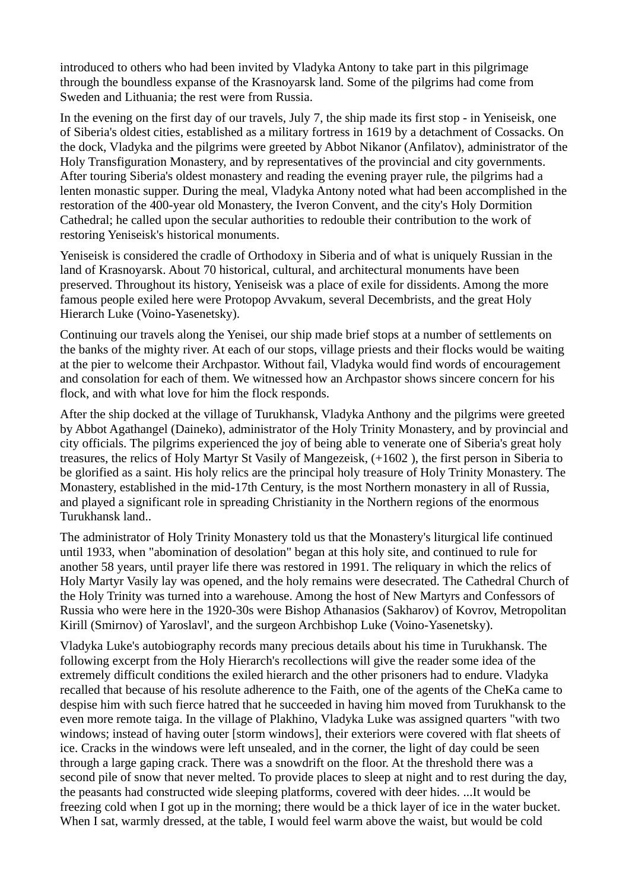introduced to others who had been invited by Vladyka Antony to take part in this pilgrimage through the boundless expanse of the Krasnoyarsk land. Some of the pilgrims had come from Sweden and Lithuania; the rest were from Russia.

In the evening on the first day of our travels, July 7, the ship made its first stop - in Yeniseisk, one of Siberia's oldest cities, established as a military fortress in 1619 by a detachment of Cossacks. On the dock, Vladyka and the pilgrims were greeted by Abbot Nikanor (Anfilatov), administrator of the Holy Transfiguration Monastery, and by representatives of the provincial and city governments. After touring Siberia's oldest monastery and reading the evening prayer rule, the pilgrims had a lenten monastic supper. During the meal, Vladyka Antony noted what had been accomplished in the restoration of the 400-year old Monastery, the Iveron Convent, and the city's Holy Dormition Cathedral; he called upon the secular authorities to redouble their contribution to the work of restoring Yeniseisk's historical monuments.

Yeniseisk is considered the cradle of Orthodoxy in Siberia and of what is uniquely Russian in the land of Krasnoyarsk. About 70 historical, cultural, and architectural monuments have been preserved. Throughout its history, Yeniseisk was a place of exile for dissidents. Among the more famous people exiled here were Protopop Avvakum, several Decembrists, and the great Holy Hierarch Luke (Voino-Yasenetsky).

Continuing our travels along the Yenisei, our ship made brief stops at a number of settlements on the banks of the mighty river. At each of our stops, village priests and their flocks would be waiting at the pier to welcome their Archpastor. Without fail, Vladyka would find words of encouragement and consolation for each of them. We witnessed how an Archpastor shows sincere concern for his flock, and with what love for him the flock responds.

After the ship docked at the village of Turukhansk, Vladyka Anthony and the pilgrims were greeted by Abbot Agathangel (Daineko), administrator of the Holy Trinity Monastery, and by provincial and city officials. The pilgrims experienced the joy of being able to venerate one of Siberia's great holy treasures, the relics of Holy Martyr St Vasily of Mangezeisk, (+1602 ), the first person in Siberia to be glorified as a saint. His holy relics are the principal holy treasure of Holy Trinity Monastery. The Monastery, established in the mid-17th Century, is the most Northern monastery in all of Russia, and played a significant role in spreading Christianity in the Northern regions of the enormous Turukhansk land..

The administrator of Holy Trinity Monastery told us that the Monastery's liturgical life continued until 1933, when "abomination of desolation" began at this holy site, and continued to rule for another 58 years, until prayer life there was restored in 1991. The reliquary in which the relics of Holy Martyr Vasily lay was opened, and the holy remains were desecrated. The Cathedral Church of the Holy Trinity was turned into a warehouse. Among the host of New Martyrs and Confessors of Russia who were here in the 1920-30s were Bishop Athanasios (Sakharov) of Kovrov, Metropolitan Kirill (Smirnov) of Yaroslavl', and the surgeon Archbishop Luke (Voino-Yasenetsky).

Vladyka Luke's autobiography records many precious details about his time in Turukhansk. The following excerpt from the Holy Hierarch's recollections will give the reader some idea of the extremely difficult conditions the exiled hierarch and the other prisoners had to endure. Vladyka recalled that because of his resolute adherence to the Faith, one of the agents of the CheKa came to despise him with such fierce hatred that he succeeded in having him moved from Turukhansk to the even more remote taiga. In the village of Plakhino, Vladyka Luke was assigned quarters "with two windows; instead of having outer [storm windows], their exteriors were covered with flat sheets of ice. Cracks in the windows were left unsealed, and in the corner, the light of day could be seen through a large gaping crack. There was a snowdrift on the floor. At the threshold there was a second pile of snow that never melted. To provide places to sleep at night and to rest during the day, the peasants had constructed wide sleeping platforms, covered with deer hides. ...It would be freezing cold when I got up in the morning; there would be a thick layer of ice in the water bucket. When I sat, warmly dressed, at the table, I would feel warm above the waist, but would be cold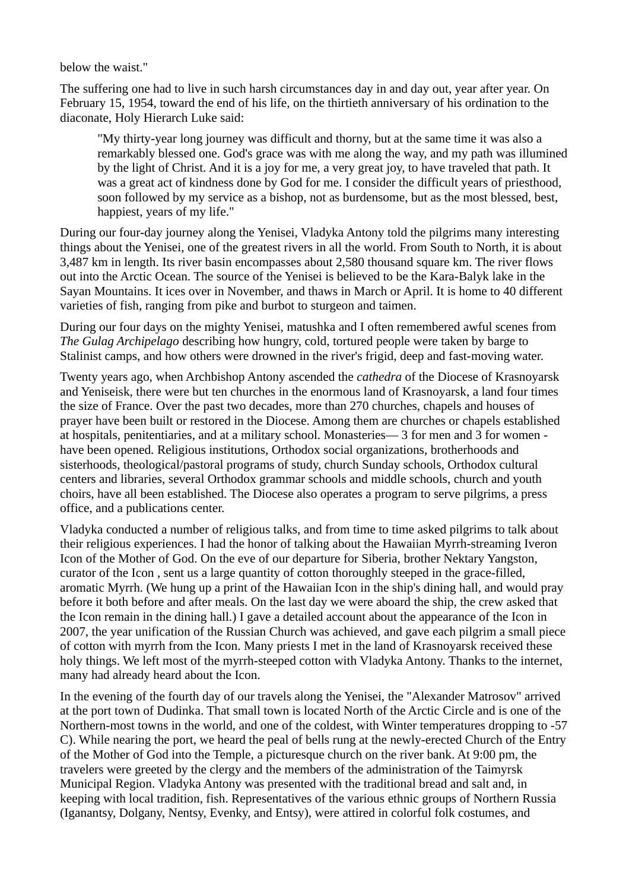below the waist."

The suffering one had to live in such harsh circumstances day in and day out, year after year. On February 15, 1954, toward the end of his life, on the thirtieth anniversary of his ordination to the diaconate, Holy Hierarch Luke said:

"My thirty-year long journey was difficult and thorny, but at the same time it was also a remarkably blessed one. God's grace was with me along the way, and my path was illumined by the light of Christ. And it is a joy for me, a very great joy, to have traveled that path. It was a great act of kindness done by God for me. I consider the difficult years of priesthood, soon followed by my service as a bishop, not as burdensome, but as the most blessed, best, happiest, years of my life."

During our four-day journey along the Yenisei, Vladyka Antony told the pilgrims many interesting things about the Yenisei, one of the greatest rivers in all the world. From South to North, it is about 3,487 km in length. Its river basin encompasses about 2,580 thousand square km. The river flows out into the Arctic Ocean. The source of the Yenisei is believed to be the Kara-Balyk lake in the Sayan Mountains. It ices over in November, and thaws in March or April. It is home to 40 different varieties of fish, ranging from pike and burbot to sturgeon and taimen.

During our four days on the mighty Yenisei, matushka and I often remembered awful scenes from *The Gulag Archipelago* describing how hungry, cold, tortured people were taken by barge to Stalinist camps, and how others were drowned in the river's frigid, deep and fast-moving water.

Twenty years ago, when Archbishop Antony ascended the *cathedra* of the Diocese of Krasnoyarsk and Yeniseisk, there were but ten churches in the enormous land of Krasnoyarsk, a land four times the size of France. Over the past two decades, more than 270 churches, chapels and houses of prayer have been built or restored in the Diocese. Among them are churches or chapels established at hospitals, penitentiaries, and at a military school. Monasteries— 3 for men and 3 for women have been opened. Religious institutions, Orthodox social organizations, brotherhoods and sisterhoods, theological/pastoral programs of study, church Sunday schools, Orthodox cultural centers and libraries, several Orthodox grammar schools and middle schools, church and youth choirs, have all been established. The Diocese also operates a program to serve pilgrims, a press office, and a publications center.

Vladyka conducted a number of religious talks, and from time to time asked pilgrims to talk about their religious experiences. I had the honor of talking about the Hawaiian Myrrh-streaming Iveron Icon of the Mother of God. On the eve of our departure for Siberia, brother Nektary Yangston, curator of the Icon , sent us a large quantity of cotton thoroughly steeped in the grace-filled, aromatic Myrrh. (We hung up a print of the Hawaiian Icon in the ship's dining hall, and would pray before it both before and after meals. On the last day we were aboard the ship, the crew asked that the Icon remain in the dining hall.) I gave a detailed account about the appearance of the Icon in 2007, the year unification of the Russian Church was achieved, and gave each pilgrim a small piece of cotton with myrrh from the Icon. Many priests I met in the land of Krasnoyarsk received these holy things. We left most of the myrrh-steeped cotton with Vladyka Antony. Thanks to the internet, many had already heard about the Icon.

In the evening of the fourth day of our travels along the Yenisei, the "Alexander Matrosov" arrived at the port town of Dudinka. That small town is located North of the Arctic Circle and is one of the Northern-most towns in the world, and one of the coldest, with Winter temperatures dropping to -57 С). While nearing the port, we heard the peal of bells rung at the newly-erected Church of the Entry of the Mother of God into the Temple, a picturesque church on the river bank. At 9:00 pm, the travelers were greeted by the clergy and the members of the administration of the Taimyrsk Municipal Region. Vladyka Antony was presented with the traditional bread and salt and, in keeping with local tradition, fish. Representatives of the various ethnic groups of Northern Russia (Iganantsy, Dolgany, Nentsy, Evenky, and Entsy), were attired in colorful folk costumes, and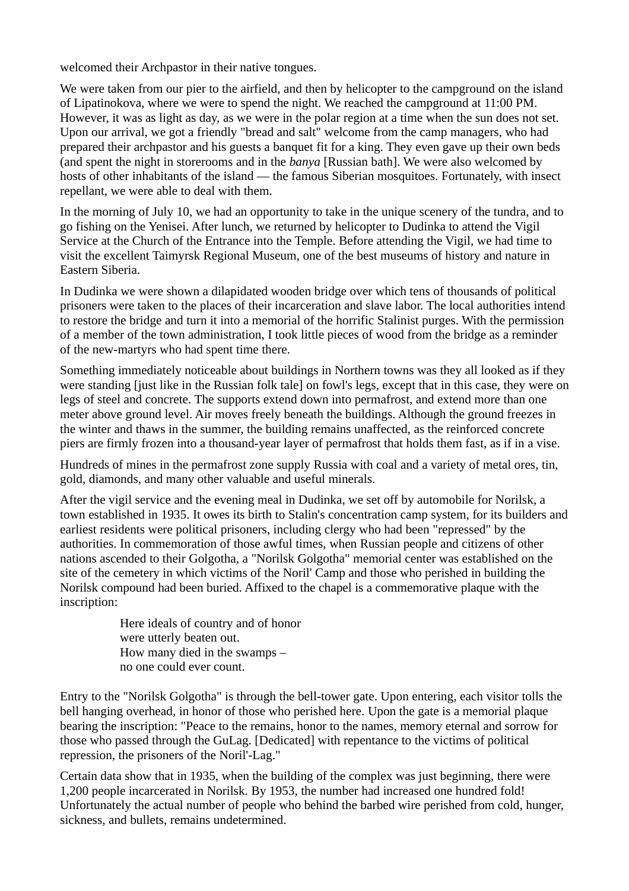welcomed their Archpastor in their native tongues.

We were taken from our pier to the airfield, and then by helicopter to the campground on the island of Lipatinokova, where we were to spend the night. We reached the campground at 11:00 PM. However, it was as light as day, as we were in the polar region at a time when the sun does not set. Upon our arrival, we got a friendly "bread and salt" welcome from the camp managers, who had prepared their archpastor and his guests a banquet fit for a king. They even gave up their own beds (and spent the night in storerooms and in the *banya* [Russian bath]. We were also welcomed by hosts of other inhabitants of the island — the famous Siberian mosquitoes. Fortunately, with insect repellant, we were able to deal with them.

In the morning of July 10, we had an opportunity to take in the unique scenery of the tundra, and to go fishing on the Yenisei. After lunch, we returned by helicopter to Dudinka to attend the Vigil Service at the Church of the Entrance into the Temple. Before attending the Vigil, we had time to visit the excellent Taimyrsk Regional Museum, one of the best museums of history and nature in Eastern Siberia.

In Dudinka we were shown a dilapidated wooden bridge over which tens of thousands of political prisoners were taken to the places of their incarceration and slave labor. The local authorities intend to restore the bridge and turn it into a memorial of the horrific Stalinist purges. With the permission of a member of the town administration, I took little pieces of wood from the bridge as a reminder of the new-martyrs who had spent time there.

Something immediately noticeable about buildings in Northern towns was they all looked as if they were standing [just like in the Russian folk tale] on fowl's legs, except that in this case, they were on legs of steel and concrete. The supports extend down into permafrost, and extend more than one meter above ground level. Air moves freely beneath the buildings. Although the ground freezes in the winter and thaws in the summer, the building remains unaffected, as the reinforced concrete piers are firmly frozen into a thousand-year layer of permafrost that holds them fast, as if in a vise.

Hundreds of mines in the permafrost zone supply Russia with coal and a variety of metal ores, tin, gold, diamonds, and many other valuable and useful minerals.

After the vigil service and the evening meal in Dudinka, we set off by automobile for Norilsk, a town established in 1935. It owes its birth to Stalin's concentration camp system, for its builders and earliest residents were political prisoners, including clergy who had been "repressed" by the authorities. In commemoration of those awful times, when Russian people and citizens of other nations ascended to their Golgotha, a "Norilsk Golgotha" memorial center was established on the site of the cemetery in which victims of the Noril' Camp and those who perished in building the Norilsk compound had been buried. Affixed to the chapel is a commemorative plaque with the inscription:

> Here ideals of country and of honor were utterly beaten out. How many died in the swamps – no one could ever count.

Entry to the "Norilsk Golgotha" is through the bell-tower gate. Upon entering, each visitor tolls the bell hanging overhead, in honor of those who perished here. Upon the gate is a memorial plaque bearing the inscription: "Peace to the remains, honor to the names, memory eternal and sorrow for those who passed through the GuLag. [Dedicated] with repentance to the victims of political repression, the prisoners of the Noril'-Lag."

Certain data show that in 1935, when the building of the complex was just beginning, there were 1,200 people incarcerated in Norilsk. By 1953, the number had increased one hundred fold! Unfortunately the actual number of people who behind the barbed wire perished from cold, hunger, sickness, and bullets, remains undetermined.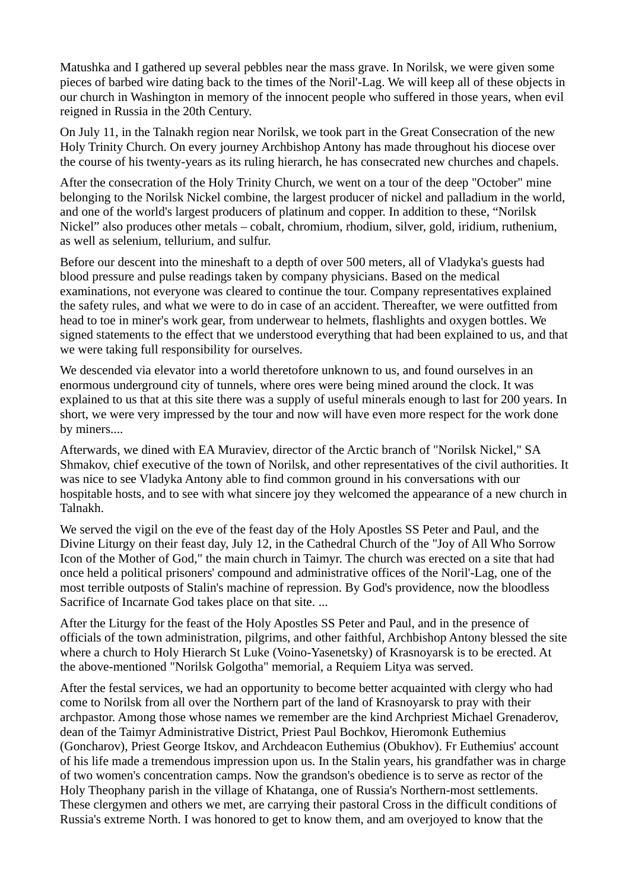Matushka and I gathered up several pebbles near the mass grave. In Norilsk, we were given some pieces of barbed wire dating back to the times of the Noril'-Lag. We will keep all of these objects in our church in Washington in memory of the innocent people who suffered in those years, when evil reigned in Russia in the 20th Century.

On July 11, in the Talnakh region near Norilsk, we took part in the Great Consecration of the new Holy Trinity Church. On every journey Archbishop Antony has made throughout his diocese over the course of his twenty-years as its ruling hierarch, he has consecrated new churches and chapels.

After the consecration of the Holy Trinity Church, we went on a tour of the deep "October" mine belonging to the Norilsk Nickel combine, the largest producer of nickel and palladium in the world, and one of the world's largest producers of platinum and copper. In addition to these, "Norilsk Nickel" also produces other metals – cobalt, chromium, rhodium, silver, gold, iridium, ruthenium, as well as selenium, tellurium, and sulfur.

Before our descent into the mineshaft to a depth of over 500 meters, all of Vladyka's guests had blood pressure and pulse readings taken by company physicians. Based on the medical examinations, not everyone was cleared to continue the tour. Company representatives explained the safety rules, and what we were to do in case of an accident. Thereafter, we were outfitted from head to toe in miner's work gear, from underwear to helmets, flashlights and oxygen bottles. We signed statements to the effect that we understood everything that had been explained to us, and that we were taking full responsibility for ourselves.

We descended via elevator into a world theretofore unknown to us, and found ourselves in an enormous underground city of tunnels, where ores were being mined around the clock. It was explained to us that at this site there was a supply of useful minerals enough to last for 200 years. In short, we were very impressed by the tour and now will have even more respect for the work done by miners....

Afterwards, we dined with EA Muraviev, director of the Arctic branch of "Norilsk Nickel," SA Shmakov, chief executive of the town of Norilsk, and other representatives of the civil authorities. It was nice to see Vladyka Antony able to find common ground in his conversations with our hospitable hosts, and to see with what sincere joy they welcomed the appearance of a new church in Talnakh.

We served the vigil on the eve of the feast day of the Holy Apostles SS Peter and Paul, and the Divine Liturgy on their feast day, July 12, in the Cathedral Church of the "Joy of All Who Sorrow Icon of the Mother of God," the main church in Taimyr. The church was erected on a site that had once held a political prisoners' compound and administrative offices of the Noril'-Lag, one of the most terrible outposts of Stalin's machine of repression. By God's providence, now the bloodless Sacrifice of Incarnate God takes place on that site. ...

After the Liturgy for the feast of the Holy Apostles SS Peter and Paul, and in the presence of officials of the town administration, pilgrims, and other faithful, Archbishop Antony blessed the site where a church to Holy Hierarch St Luke (Voino-Yasenetsky) of Krasnoyarsk is to be erected. At the above-mentioned "Norilsk Golgotha" memorial, a Requiem Litya was served.

After the festal services, we had an opportunity to become better acquainted with clergy who had come to Norilsk from all over the Northern part of the land of Krasnoyarsk to pray with their archpastor. Among those whose names we remember are the kind Archpriest Michael Grenaderov, dean of the Taimyr Administrative District, Priest Paul Bochkov, Hieromonk Euthemius (Goncharov), Priest George Itskov, and Archdeacon Euthemius (Obukhov). Fr Euthemius' account of his life made a tremendous impression upon us. In the Stalin years, his grandfather was in charge of two women's concentration camps. Now the grandson's obedience is to serve as rector of the Holy Theophany parish in the village of Khatanga, one of Russia's Northern-most settlements. These clergymen and others we met, are carrying their pastoral Cross in the difficult conditions of Russia's extreme North. I was honored to get to know them, and am overjoyed to know that the